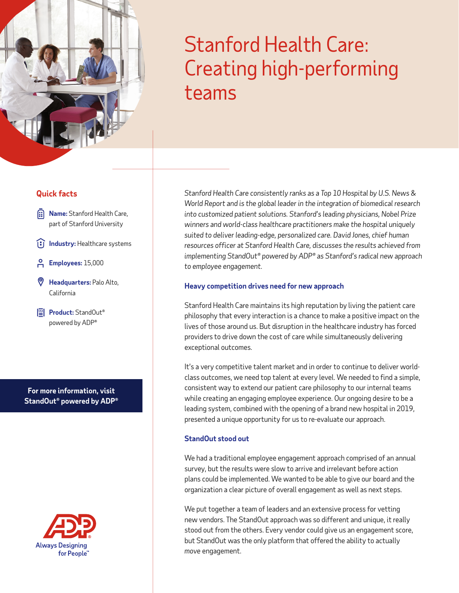# Stanford Health Care: Creating high-performing teams

# **Quick facts**

- **Rame:** Stanford Health Care, part of Stanford University
- **IFJ** Industry: Healthcare systems
- **Employees:** 15,000
- **Headquarters:** Palo Alto, California
- **Product:** StandOut<sup>®</sup> powered by ADP®

**For more information, visit [StandOut® powered by ADP®](https://www.adp.com/what-we-offer/products/standout.aspx)**



*Stanford Health Care consistently ranks as a Top 10 Hospital by U.S. News & World Report and is the global leader in the integration of biomedical research into customized patient solutions. Stanford's leading physicians, Nobel Prize winners and world-class healthcare practitioners make the hospital uniquely suited to deliver leading-edge, personalized care. David Jones, chief human resources officer at Stanford Health Care, discusses the results achieved from implementing StandOut® powered by ADP® as Stanford's radical new approach to employee engagement.*

### **Heavy competition drives need for new approach**

Stanford Health Care maintains its high reputation by living the patient care philosophy that every interaction is a chance to make a positive impact on the lives of those around us. But disruption in the healthcare industry has forced providers to drive down the cost of care while simultaneously delivering exceptional outcomes.

It's a very competitive talent market and in order to continue to deliver worldclass outcomes, we need top talent at every level. We needed to find a simple, consistent way to extend our patient care philosophy to our internal teams while creating an engaging employee experience. Our ongoing desire to be a leading system, combined with the opening of a brand new hospital in 2019, presented a unique opportunity for us to re-evaluate our approach.

## **StandOut stood out**

We had a traditional employee engagement approach comprised of an annual survey, but the results were slow to arrive and irrelevant before action plans could be implemented. We wanted to be able to give our board and the organization a clear picture of overall engagement as well as next steps.

We put together a team of leaders and an extensive process for vetting new vendors. The StandOut approach was so different and unique, it really stood out from the others. Every vendor could give us an engagement score, but StandOut was the only platform that offered the ability to actually *move* engagement.